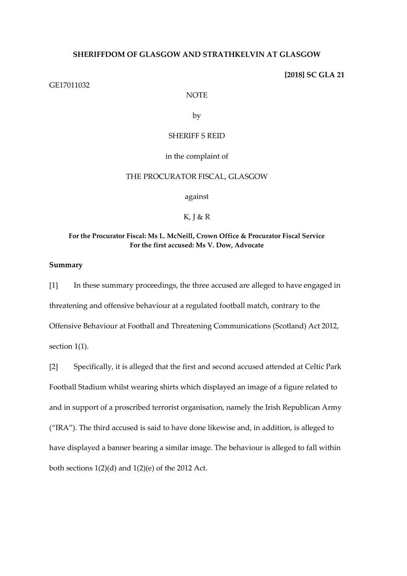### **SHERIFFDOM OF GLASGOW AND STRATHKELVIN AT GLASGOW**

**[2018] SC GLA 21**

#### GE17011032

NOTE

by

### SHERIFF S REID

in the complaint of

# THE PROCURATOR FISCAL, GLASGOW

against

 $K, I & R$ 

### **For the Procurator Fiscal: Ms L. McNeill, Crown Office & Procurator Fiscal Service For the first accused: Ms V. Dow, Advocate**

# **Summary**

[1] In these summary proceedings, the three accused are alleged to have engaged in threatening and offensive behaviour at a regulated football match, contrary to the Offensive Behaviour at Football and Threatening Communications (Scotland) Act 2012, section 1(1).

[2] Specifically, it is alleged that the first and second accused attended at Celtic Park Football Stadium whilst wearing shirts which displayed an image of a figure related to and in support of a proscribed terrorist organisation, namely the Irish Republican Army ("IRA"). The third accused is said to have done likewise and, in addition, is alleged to have displayed a banner bearing a similar image. The behaviour is alleged to fall within both sections  $1(2)(d)$  and  $1(2)(e)$  of the 2012 Act.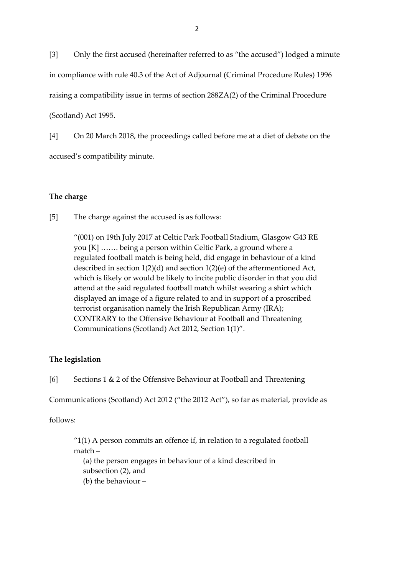[3] Only the first accused (hereinafter referred to as "the accused") lodged a minute in compliance with rule 40.3 of the Act of Adjournal (Criminal Procedure Rules) 1996 raising a compatibility issue in terms of section 288ZA(2) of the Criminal Procedure (Scotland) Act 1995.

[4] On 20 March 2018, the proceedings called before me at a diet of debate on the accused's compatibility minute.

# **The charge**

[5] The charge against the accused is as follows:

"(001) on 19th July 2017 at Celtic Park Football Stadium, Glasgow G43 RE you [K] ……. being a person within Celtic Park, a ground where a regulated football match is being held, did engage in behaviour of a kind described in section 1(2)(d) and section 1(2)(e) of the aftermentioned Act, which is likely or would be likely to incite public disorder in that you did attend at the said regulated football match whilst wearing a shirt which displayed an image of a figure related to and in support of a proscribed terrorist organisation namely the Irish Republican Army (IRA); CONTRARY to the Offensive Behaviour at Football and Threatening Communications (Scotland) Act 2012, Section 1(1)".

### **The legislation**

[6] Sections 1 & 2 of the Offensive Behaviour at Football and Threatening

Communications (Scotland) Act 2012 ("the 2012 Act"), so far as material, provide as

follows:

 $"1(1)$  A person commits an offence if, in relation to a regulated football match – (a) the person engages in behaviour of a kind described in subsection (2), and

(b) the behaviour –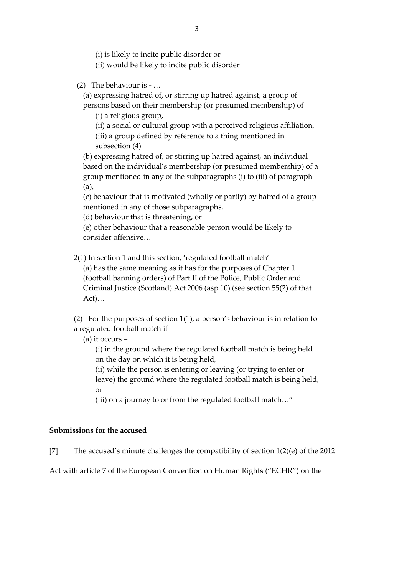(i) is likely to incite public disorder or

(ii) would be likely to incite public disorder

(2) The behaviour is - …

(a) expressing hatred of, or stirring up hatred against, a group of

persons based on their membership (or presumed membership) of (i) a religious group,

(ii) a social or cultural group with a perceived religious affiliation,

(iii) a group defined by reference to a thing mentioned in subsection (4)

(b) expressing hatred of, or stirring up hatred against, an individual based on the individual's membership (or presumed membership) of a group mentioned in any of the subparagraphs (i) to (iii) of paragraph (a),

(c) behaviour that is motivated (wholly or partly) by hatred of a group mentioned in any of those subparagraphs,

(d) behaviour that is threatening, or

(e) other behaviour that a reasonable person would be likely to consider offensive…

2(1) In section 1 and this section, 'regulated football match' –

(a) has the same meaning as it has for the purposes of Chapter 1 (football banning orders) of Part II of the Police, Public Order and Criminal Justice (Scotland) Act 2006 (asp 10) (see section 55(2) of that Act)…

(2) For the purposes of section 1(1), a person's behaviour is in relation to a regulated football match if –

(a) it occurs –

(i) in the ground where the regulated football match is being held on the day on which it is being held,

(ii) while the person is entering or leaving (or trying to enter or leave) the ground where the regulated football match is being held, or

(iii) on a journey to or from the regulated football match…"

# **Submissions for the accused**

[7] The accused's minute challenges the compatibility of section 1(2)(e) of the 2012

Act with article 7 of the European Convention on Human Rights ("ECHR") on the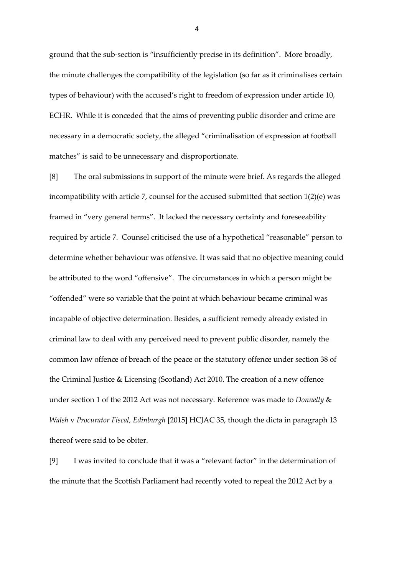ground that the sub-section is "insufficiently precise in its definition". More broadly, the minute challenges the compatibility of the legislation (so far as it criminalises certain types of behaviour) with the accused's right to freedom of expression under article 10, ECHR. While it is conceded that the aims of preventing public disorder and crime are necessary in a democratic society, the alleged "criminalisation of expression at football matches" is said to be unnecessary and disproportionate.

[8] The oral submissions in support of the minute were brief. As regards the alleged incompatibility with article 7, counsel for the accused submitted that section 1(2)(e) was framed in "very general terms". It lacked the necessary certainty and foreseeability required by article 7. Counsel criticised the use of a hypothetical "reasonable" person to determine whether behaviour was offensive. It was said that no objective meaning could be attributed to the word "offensive". The circumstances in which a person might be "offended" were so variable that the point at which behaviour became criminal was incapable of objective determination. Besides, a sufficient remedy already existed in criminal law to deal with any perceived need to prevent public disorder, namely the common law offence of breach of the peace or the statutory offence under section 38 of the Criminal Justice & Licensing (Scotland) Act 2010. The creation of a new offence under section 1 of the 2012 Act was not necessary. Reference was made to *Donnelly* & *Walsh* v *Procurator Fiscal, Edinburgh* [2015] HCJAC 35, though the dicta in paragraph 13 thereof were said to be obiter.

[9] I was invited to conclude that it was a "relevant factor" in the determination of the minute that the Scottish Parliament had recently voted to repeal the 2012 Act by a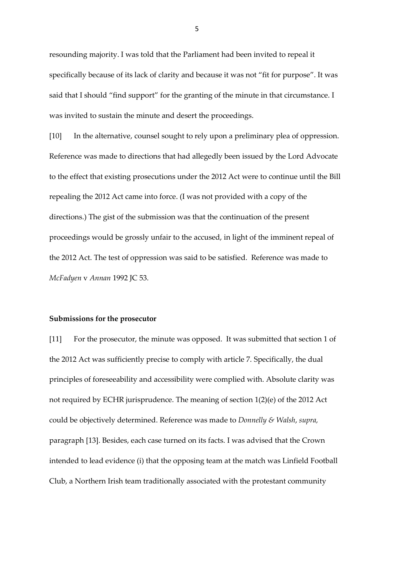resounding majority. I was told that the Parliament had been invited to repeal it specifically because of its lack of clarity and because it was not "fit for purpose". It was said that I should "find support" for the granting of the minute in that circumstance. I was invited to sustain the minute and desert the proceedings.

[10] In the alternative, counsel sought to rely upon a preliminary plea of oppression. Reference was made to directions that had allegedly been issued by the Lord Advocate to the effect that existing prosecutions under the 2012 Act were to continue until the Bill repealing the 2012 Act came into force. (I was not provided with a copy of the directions.) The gist of the submission was that the continuation of the present proceedings would be grossly unfair to the accused, in light of the imminent repeal of the 2012 Act. The test of oppression was said to be satisfied. Reference was made to *McFadyen* v *Annan* 1992 JC 53.

#### **Submissions for the prosecutor**

[11] For the prosecutor, the minute was opposed. It was submitted that section 1 of the 2012 Act was sufficiently precise to comply with article 7. Specifically, the dual principles of foreseeability and accessibility were complied with. Absolute clarity was not required by ECHR jurisprudence. The meaning of section 1(2)(e) of the 2012 Act could be objectively determined. Reference was made to *Donnelly & Walsh*, *supra,* paragraph [13]. Besides, each case turned on its facts. I was advised that the Crown intended to lead evidence (i) that the opposing team at the match was Linfield Football Club, a Northern Irish team traditionally associated with the protestant community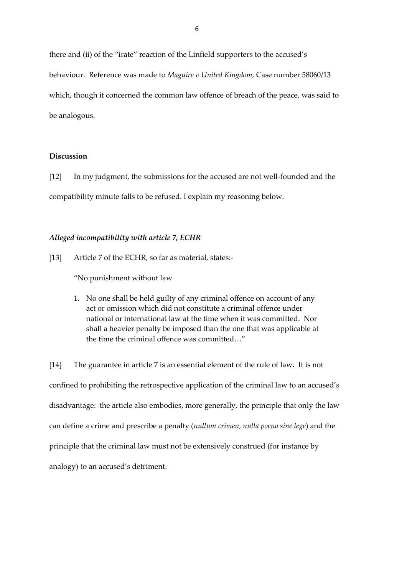there and (ii) of the "irate" reaction of the Linfield supporters to the accused's behaviour. Reference was made to *Maguire v United Kingdom,* Case number 58060/13 which, though it concerned the common law offence of breach of the peace, was said to be analogous.

# **Discussion**

[12] In my judgment, the submissions for the accused are not well-founded and the compatibility minute falls to be refused. I explain my reasoning below.

### *Alleged incompatibility with article 7, ECHR*

[13] Article 7 of the ECHR, so far as material, states:-

"No punishment without law

1. No one shall be held guilty of any criminal offence on account of any act or omission which did not constitute a criminal offence under national or international law at the time when it was committed. Nor shall a heavier penalty be imposed than the one that was applicable at the time the criminal offence was committed…"

[14] The guarantee in article 7 is an essential element of the rule of law. It is not confined to prohibiting the retrospective application of the criminal law to an accused's disadvantage: the article also embodies, more generally, the principle that only the law can define a crime and prescribe a penalty (*nullum crimen, nulla poena sine lege*) and the principle that the criminal law must not be extensively construed (for instance by analogy) to an accused's detriment.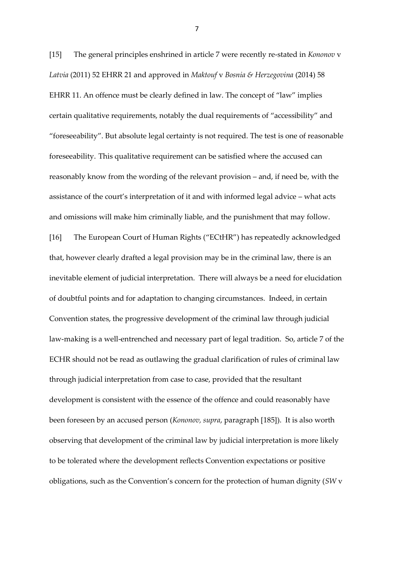[15] The general principles enshrined in article 7 were recently re-stated in *Kononov* v *Latvia* (2011) 52 EHRR 21 and approved in *Maktouf* v *Bosnia & Herzegovina* (2014) 58 EHRR 11. An offence must be clearly defined in law. The concept of "law" implies certain qualitative requirements, notably the dual requirements of "accessibility" and "foreseeability". But absolute legal certainty is not required. The test is one of reasonable foreseeability. This qualitative requirement can be satisfied where the accused can reasonably know from the wording of the relevant provision – and, if need be, with the assistance of the court's interpretation of it and with informed legal advice – what acts and omissions will make him criminally liable, and the punishment that may follow. [16] The European Court of Human Rights ("ECtHR") has repeatedly acknowledged that, however clearly drafted a legal provision may be in the criminal law, there is an inevitable element of judicial interpretation. There will always be a need for elucidation of doubtful points and for adaptation to changing circumstances. Indeed, in certain Convention states, the progressive development of the criminal law through judicial law-making is a well-entrenched and necessary part of legal tradition. So, article 7 of the ECHR should not be read as outlawing the gradual clarification of rules of criminal law through judicial interpretation from case to case, provided that the resultant development is consistent with the essence of the offence and could reasonably have been foreseen by an accused person (*Kononov, supra*, paragraph [185]). It is also worth observing that development of the criminal law by judicial interpretation is more likely to be tolerated where the development reflects Convention expectations or positive obligations, such as the Convention's concern for the protection of human dignity (*SW* v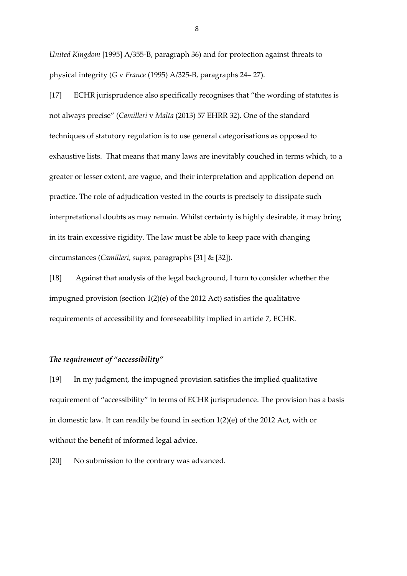*United Kingdom* [1995] A/355-B, paragraph 36) and for protection against threats to physical integrity (*G* v *France* (1995) A/325-B, paragraphs 24– 27).

[17] ECHR jurisprudence also specifically recognises that "the wording of statutes is not always precise" (*Camilleri* v *Malta* (2013) 57 EHRR 32). One of the standard techniques of statutory regulation is to use general categorisations as opposed to exhaustive lists. That means that many laws are inevitably couched in terms which, to a greater or lesser extent, are vague, and their interpretation and application depend on practice. The role of adjudication vested in the courts is precisely to dissipate such interpretational doubts as may remain. Whilst certainty is highly desirable, it may bring in its train excessive rigidity. The law must be able to keep pace with changing circumstances (*Camilleri, supra,* paragraphs [31] & [32]).

[18] Against that analysis of the legal background, I turn to consider whether the impugned provision (section 1(2)(e) of the 2012 Act) satisfies the qualitative requirements of accessibility and foreseeability implied in article 7, ECHR.

### *The requirement of "accessibility"*

[19] In my judgment, the impugned provision satisfies the implied qualitative requirement of "accessibility" in terms of ECHR jurisprudence. The provision has a basis in domestic law. It can readily be found in section 1(2)(e) of the 2012 Act, with or without the benefit of informed legal advice.

[20] No submission to the contrary was advanced.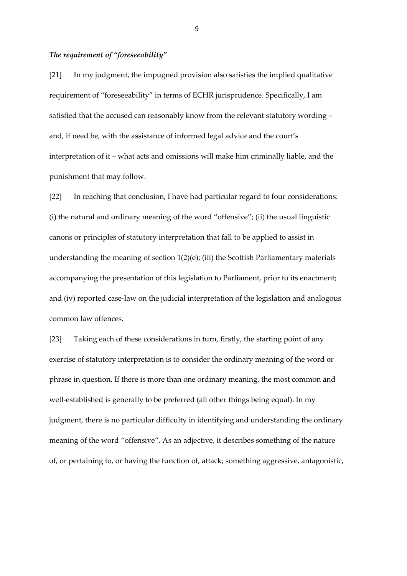### *The requirement of "foreseeability"*

[21] In my judgment, the impugned provision also satisfies the implied qualitative requirement of "foreseeability" in terms of ECHR jurisprudence. Specifically, I am satisfied that the accused can reasonably know from the relevant statutory wording – and, if need be, with the assistance of informed legal advice and the court's interpretation of it – what acts and omissions will make him criminally liable, and the punishment that may follow.

[22] In reaching that conclusion, I have had particular regard to four considerations: (i) the natural and ordinary meaning of the word "offensive"; (ii) the usual linguistic canons or principles of statutory interpretation that fall to be applied to assist in understanding the meaning of section 1(2)(e); (iii) the Scottish Parliamentary materials accompanying the presentation of this legislation to Parliament, prior to its enactment; and (iv) reported case-law on the judicial interpretation of the legislation and analogous common law offences.

[23] Taking each of these considerations in turn, firstly, the starting point of any exercise of statutory interpretation is to consider the ordinary meaning of the word or phrase in question. If there is more than one ordinary meaning, the most common and well-established is generally to be preferred (all other things being equal). In my judgment, there is no particular difficulty in identifying and understanding the ordinary meaning of the word "offensive". As an adjective, it describes something of the nature of, or pertaining to, or having the function of, attack; something aggressive, antagonistic,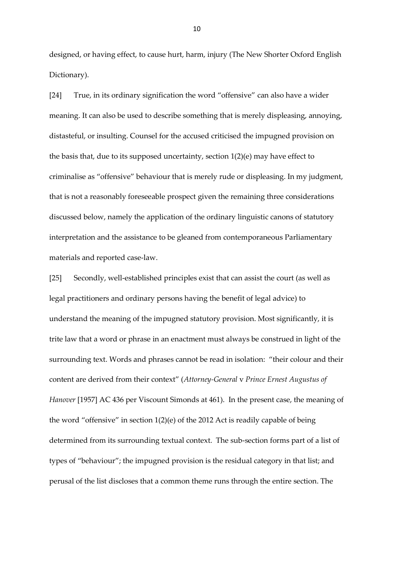designed, or having effect, to cause hurt, harm, injury (The New Shorter Oxford English Dictionary).

[24] True, in its ordinary signification the word "offensive" can also have a wider meaning. It can also be used to describe something that is merely displeasing, annoying, distasteful, or insulting. Counsel for the accused criticised the impugned provision on the basis that, due to its supposed uncertainty, section 1(2)(e) may have effect to criminalise as "offensive" behaviour that is merely rude or displeasing. In my judgment, that is not a reasonably foreseeable prospect given the remaining three considerations discussed below, namely the application of the ordinary linguistic canons of statutory interpretation and the assistance to be gleaned from contemporaneous Parliamentary materials and reported case-law.

[25] Secondly, well-established principles exist that can assist the court (as well as legal practitioners and ordinary persons having the benefit of legal advice) to understand the meaning of the impugned statutory provision. Most significantly, it is trite law that a word or phrase in an enactment must always be construed in light of the surrounding text. Words and phrases cannot be read in isolation: "their colour and their content are derived from their context" (*Attorney-General* v *Prince Ernest Augustus of Hanover* [1957] AC 436 per Viscount Simonds at 461). In the present case, the meaning of the word "offensive" in section 1(2)(e) of the 2012 Act is readily capable of being determined from its surrounding textual context. The sub-section forms part of a list of types of "behaviour"; the impugned provision is the residual category in that list; and perusal of the list discloses that a common theme runs through the entire section. The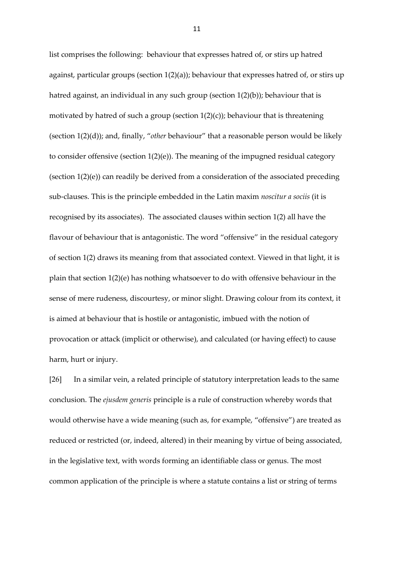list comprises the following: behaviour that expresses hatred of, or stirs up hatred against, particular groups (section  $1(2)(a)$ ); behaviour that expresses hatred of, or stirs up hatred against, an individual in any such group (section  $1(2)(b)$ ); behaviour that is motivated by hatred of such a group (section  $1(2)(c)$ ); behaviour that is threatening (section 1(2)(d)); and, finally, "*other* behaviour" that a reasonable person would be likely to consider offensive (section 1(2)(e)). The meaning of the impugned residual category (section  $1(2)(e)$ ) can readily be derived from a consideration of the associated preceding sub-clauses. This is the principle embedded in the Latin maxim *noscitur a sociis* (it is recognised by its associates). The associated clauses within section 1(2) all have the flavour of behaviour that is antagonistic. The word "offensive" in the residual category of section 1(2) draws its meaning from that associated context. Viewed in that light, it is plain that section 1(2)(e) has nothing whatsoever to do with offensive behaviour in the sense of mere rudeness, discourtesy, or minor slight. Drawing colour from its context, it is aimed at behaviour that is hostile or antagonistic, imbued with the notion of provocation or attack (implicit or otherwise), and calculated (or having effect) to cause harm, hurt or injury.

[26] In a similar vein, a related principle of statutory interpretation leads to the same conclusion. The *ejusdem generis* principle is a rule of construction whereby words that would otherwise have a wide meaning (such as, for example, "offensive") are treated as reduced or restricted (or, indeed, altered) in their meaning by virtue of being associated, in the legislative text, with words forming an identifiable class or genus. The most common application of the principle is where a statute contains a list or string of terms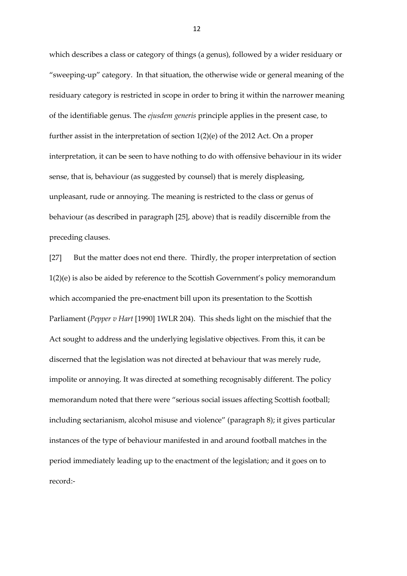which describes a class or category of things (a genus), followed by a wider residuary or "sweeping-up" category. In that situation, the otherwise wide or general meaning of the residuary category is restricted in scope in order to bring it within the narrower meaning of the identifiable genus. The *ejusdem generis* principle applies in the present case, to further assist in the interpretation of section 1(2)(e) of the 2012 Act. On a proper interpretation, it can be seen to have nothing to do with offensive behaviour in its wider sense, that is, behaviour (as suggested by counsel) that is merely displeasing, unpleasant, rude or annoying. The meaning is restricted to the class or genus of behaviour (as described in paragraph [25], above) that is readily discernible from the preceding clauses.

[27] But the matter does not end there. Thirdly, the proper interpretation of section 1(2)(e) is also be aided by reference to the Scottish Government's policy memorandum which accompanied the pre-enactment bill upon its presentation to the Scottish Parliament (*Pepper v Hart* [1990] 1WLR 204). This sheds light on the mischief that the Act sought to address and the underlying legislative objectives. From this, it can be discerned that the legislation was not directed at behaviour that was merely rude, impolite or annoying. It was directed at something recognisably different. The policy memorandum noted that there were "serious social issues affecting Scottish football; including sectarianism, alcohol misuse and violence" (paragraph 8); it gives particular instances of the type of behaviour manifested in and around football matches in the period immediately leading up to the enactment of the legislation; and it goes on to record:-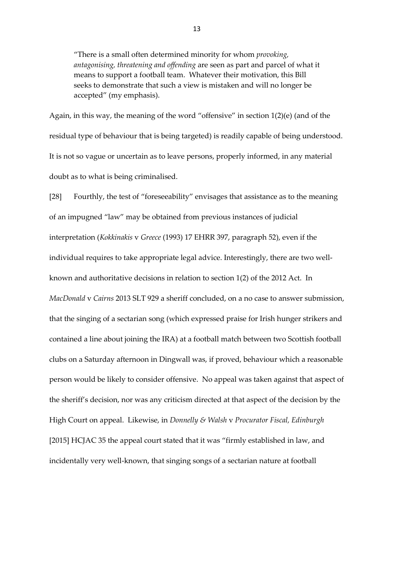"There is a small often determined minority for whom *provoking, antagonising, threatening and offending* are seen as part and parcel of what it means to support a football team. Whatever their motivation, this Bill seeks to demonstrate that such a view is mistaken and will no longer be accepted" (my emphasis).

Again, in this way, the meaning of the word "offensive" in section 1(2)(e) (and of the residual type of behaviour that is being targeted) is readily capable of being understood. It is not so vague or uncertain as to leave persons, properly informed, in any material doubt as to what is being criminalised.

[28] Fourthly, the test of "foreseeability" envisages that assistance as to the meaning of an impugned "law" may be obtained from previous instances of judicial interpretation (*Kokkinakis* v *Greece* (1993) 17 EHRR 397, paragraph 52), even if the individual requires to take appropriate legal advice. Interestingly, there are two wellknown and authoritative decisions in relation to section 1(2) of the 2012 Act. In *MacDonald* v *Cairns* 2013 SLT 929 a sheriff concluded, on a no case to answer submission, that the singing of a sectarian song (which expressed praise for Irish hunger strikers and contained a line about joining the IRA) at a football match between two Scottish football clubs on a Saturday afternoon in Dingwall was, if proved, behaviour which a reasonable person would be likely to consider offensive. No appeal was taken against that aspect of the sheriff's decision, nor was any criticism directed at that aspect of the decision by the High Court on appeal. Likewise, in *Donnelly & Walsh* v *Procurator Fiscal, Edinburgh* [2015] HCJAC 35 the appeal court stated that it was "firmly established in law, and incidentally very well-known, that singing songs of a sectarian nature at football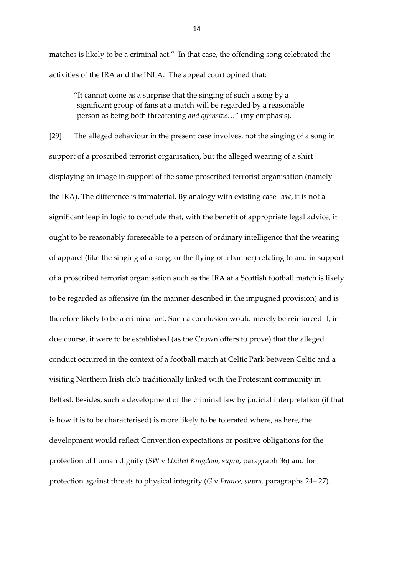matches is likely to be a criminal act." In that case, the offending song celebrated the activities of the IRA and the INLA. The appeal court opined that:

"It cannot come as a surprise that the singing of such a song by a significant group of fans at a match will be regarded by a reasonable person as being both threatening *and offensive*…" (my emphasis).

[29] The alleged behaviour in the present case involves, not the singing of a song in support of a proscribed terrorist organisation, but the alleged wearing of a shirt displaying an image in support of the same proscribed terrorist organisation (namely the IRA). The difference is immaterial. By analogy with existing case-law, it is not a significant leap in logic to conclude that, with the benefit of appropriate legal advice, it ought to be reasonably foreseeable to a person of ordinary intelligence that the wearing of apparel (like the singing of a song, or the flying of a banner) relating to and in support of a proscribed terrorist organisation such as the IRA at a Scottish football match is likely to be regarded as offensive (in the manner described in the impugned provision) and is therefore likely to be a criminal act. Such a conclusion would merely be reinforced if, in due course, it were to be established (as the Crown offers to prove) that the alleged conduct occurred in the context of a football match at Celtic Park between Celtic and a visiting Northern Irish club traditionally linked with the Protestant community in Belfast. Besides, such a development of the criminal law by judicial interpretation (if that is how it is to be characterised) is more likely to be tolerated where, as here, the development would reflect Convention expectations or positive obligations for the protection of human dignity (*SW* v *United Kingdom, supra,* paragraph 36) and for protection against threats to physical integrity (*G* v *France, supra,* paragraphs 24– 27).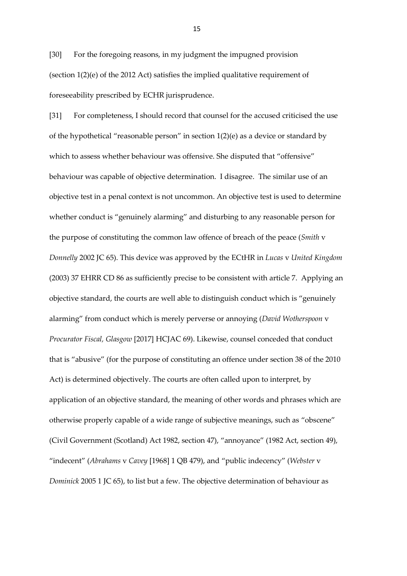[30] For the foregoing reasons, in my judgment the impugned provision (section  $1(2)(e)$  of the 2012 Act) satisfies the implied qualitative requirement of foreseeability prescribed by ECHR jurisprudence.

[31] For completeness, I should record that counsel for the accused criticised the use of the hypothetical "reasonable person" in section  $1(2)(e)$  as a device or standard by which to assess whether behaviour was offensive. She disputed that "offensive" behaviour was capable of objective determination. I disagree. The similar use of an objective test in a penal context is not uncommon. An objective test is used to determine whether conduct is "genuinely alarming" and disturbing to any reasonable person for the purpose of constituting the common law offence of breach of the peace (*Smith* v *Donnelly* 2002 JC 65). This device was approved by the ECtHR in *Lucas* v *United Kingdom* (2003) 37 EHRR CD 86 as sufficiently precise to be consistent with article 7. Applying an objective standard, the courts are well able to distinguish conduct which is "genuinely alarming" from conduct which is merely perverse or annoying (*David Wotherspoon* v *Procurator Fiscal, Glasgow* [2017] HCJAC 69). Likewise, counsel conceded that conduct that is "abusive" (for the purpose of constituting an offence under section 38 of the 2010 Act) is determined objectively. The courts are often called upon to interpret, by application of an objective standard, the meaning of other words and phrases which are otherwise properly capable of a wide range of subjective meanings, such as "obscene" (Civil Government (Scotland) Act 1982, section 47), "annoyance" (1982 Act, section 49), "indecent" (*Abrahams* v *Cavey* [1968] 1 QB 479), and "public indecency" (*Webster* v *Dominick* 2005 1 JC 65), to list but a few. The objective determination of behaviour as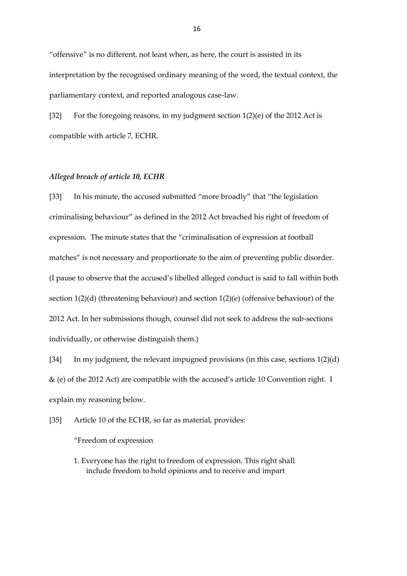"offensive" is no different, not least when, as here, the court is assisted in its interpretation by the recognised ordinary meaning of the word, the textual context, the parliamentary context, and reported analogous case-law.

[32] For the foregoing reasons, in my judgment section 1(2)(e) of the 2012 Act is compatible with article 7, ECHR.

# *Alleged breach of article 10, ECHR*

[33] In his minute, the accused submitted "more broadly" that "the legislation criminalising behaviour" as defined in the 2012 Act breached his right of freedom of expression. The minute states that the "criminalisation of expression at football matches" is not necessary and proportionate to the aim of preventing public disorder. (I pause to observe that the accused's libelled alleged conduct is said to fall within both section 1(2)(d) (threatening behaviour) and section 1(2)(e) (offensive behaviour) of the 2012 Act. In her submissions though, counsel did not seek to address the sub-sections individually, or otherwise distinguish them.)

[34] In my judgment, the relevant impugned provisions (in this case, sections 1(2)(d) & (e) of the 2012 Act) are compatible with the accused's article 10 Convention right. I explain my reasoning below.

[35] Article 10 of the ECHR, so far as material, provides:

"Freedom of expression

1. Everyone has the right to freedom of expression. This right shall include freedom to hold opinions and to receive and impart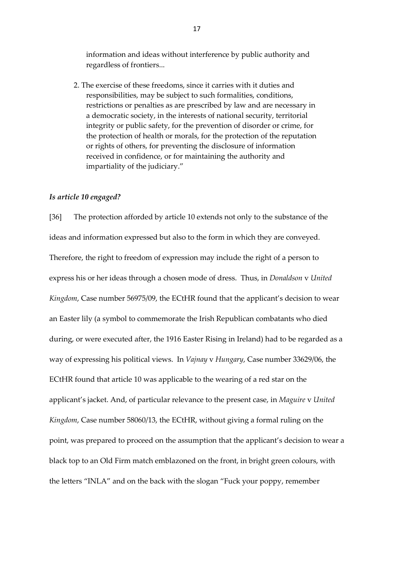information and ideas without interference by public authority and regardless of frontiers...

2. The exercise of these freedoms, since it carries with it duties and responsibilities, may be subject to such formalities, conditions, restrictions or penalties as are prescribed by law and are necessary in a democratic society, in the interests of national security, territorial integrity or public safety, for the prevention of disorder or crime, for the protection of health or morals, for the protection of the reputation or rights of others, for preventing the disclosure of information received in confidence, or for maintaining the authority and impartiality of the judiciary."

#### *Is article 10 engaged?*

[36] The protection afforded by article 10 extends not only to the substance of the ideas and information expressed but also to the form in which they are conveyed. Therefore, the right to freedom of expression may include the right of a person to express his or her ideas through a chosen mode of dress. Thus, in *Donaldson* v *United Kingdom*, Case number 56975/09, the ECtHR found that the applicant's decision to wear an Easter lily (a symbol to commemorate the Irish Republican combatants who died during, or were executed after, the 1916 Easter Rising in Ireland) had to be regarded as a way of expressing his political views. In *Vajnay* v *Hungary*, Case number 33629/06, the ECtHR found that article 10 was applicable to the wearing of a red star on the applicant's jacket. And, of particular relevance to the present case, in *Maguire* v *United Kingdom*, Case number 58060/13, the ECtHR, without giving a formal ruling on the point, was prepared to proceed on the assumption that the applicant's decision to wear a black top to an Old Firm match emblazoned on the front, in bright green colours, with the letters "INLA" and on the back with the slogan "Fuck your poppy, remember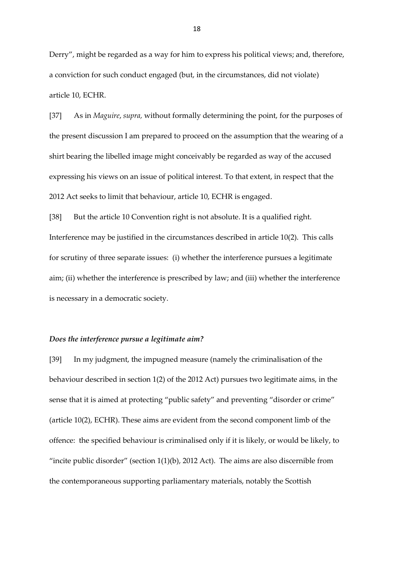Derry", might be regarded as a way for him to express his political views; and, therefore, a conviction for such conduct engaged (but, in the circumstances, did not violate) article 10, ECHR.

[37] As in *Maguire*, *supra,* without formally determining the point, for the purposes of the present discussion I am prepared to proceed on the assumption that the wearing of a shirt bearing the libelled image might conceivably be regarded as way of the accused expressing his views on an issue of political interest. To that extent, in respect that the 2012 Act seeks to limit that behaviour, article 10, ECHR is engaged.

[38] But the article 10 Convention right is not absolute. It is a qualified right. Interference may be justified in the circumstances described in article 10(2). This calls for scrutiny of three separate issues: (i) whether the interference pursues a legitimate aim; (ii) whether the interference is prescribed by law; and (iii) whether the interference is necessary in a democratic society.

#### *Does the interference pursue a legitimate aim?*

[39] In my judgment, the impugned measure (namely the criminalisation of the behaviour described in section 1(2) of the 2012 Act) pursues two legitimate aims, in the sense that it is aimed at protecting "public safety" and preventing "disorder or crime" (article 10(2), ECHR). These aims are evident from the second component limb of the offence: the specified behaviour is criminalised only if it is likely, or would be likely, to "incite public disorder" (section  $1(1)(b)$ , 2012 Act). The aims are also discernible from the contemporaneous supporting parliamentary materials, notably the Scottish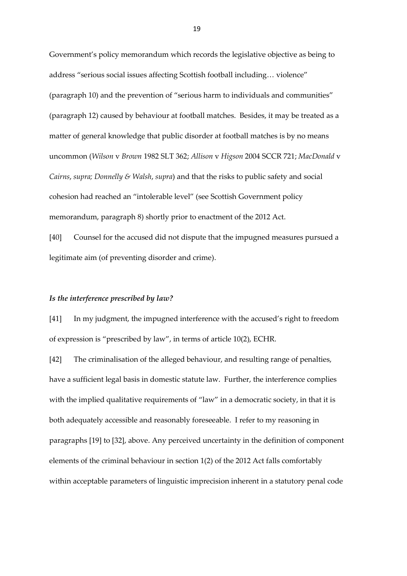Government's policy memorandum which records the legislative objective as being to address "serious social issues affecting Scottish football including… violence" (paragraph 10) and the prevention of "serious harm to individuals and communities" (paragraph 12) caused by behaviour at football matches. Besides, it may be treated as a matter of general knowledge that public disorder at football matches is by no means uncommon (*Wilson* v *Brown* 1982 SLT 362; *Allison* v *Higson* 2004 SCCR 721; *MacDonald* v *Cairns*, *supra; Donnelly & Walsh*, *supra*) and that the risks to public safety and social cohesion had reached an "intolerable level" (see Scottish Government policy memorandum, paragraph 8) shortly prior to enactment of the 2012 Act.

[40] Counsel for the accused did not dispute that the impugned measures pursued a legitimate aim (of preventing disorder and crime).

#### *Is the interference prescribed by law?*

[41] In my judgment, the impugned interference with the accused's right to freedom of expression is "prescribed by law", in terms of article 10(2), ECHR.

[42] The criminalisation of the alleged behaviour, and resulting range of penalties, have a sufficient legal basis in domestic statute law. Further, the interference complies with the implied qualitative requirements of "law" in a democratic society, in that it is both adequately accessible and reasonably foreseeable. I refer to my reasoning in paragraphs [19] to [32], above. Any perceived uncertainty in the definition of component elements of the criminal behaviour in section 1(2) of the 2012 Act falls comfortably within acceptable parameters of linguistic imprecision inherent in a statutory penal code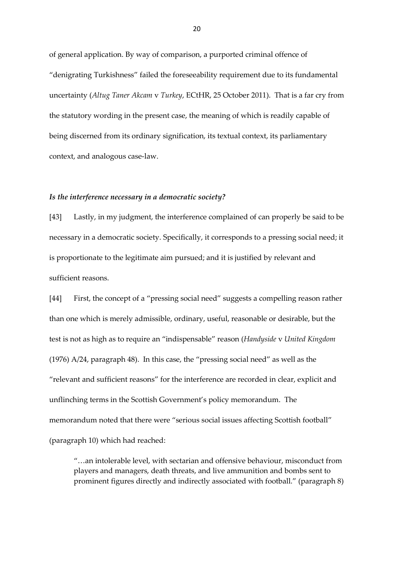of general application. By way of comparison, a purported criminal offence of "denigrating Turkishness" failed the foreseeability requirement due to its fundamental uncertainty (*Altug Taner Akcam* v *Turkey*, ECtHR, 25 October 2011). That is a far cry from the statutory wording in the present case, the meaning of which is readily capable of being discerned from its ordinary signification, its textual context, its parliamentary context, and analogous case-law.

#### *Is the interference necessary in a democratic society?*

[43] Lastly, in my judgment, the interference complained of can properly be said to be necessary in a democratic society. Specifically, it corresponds to a pressing social need; it is proportionate to the legitimate aim pursued; and it is justified by relevant and sufficient reasons.

[44] First, the concept of a "pressing social need" suggests a compelling reason rather than one which is merely admissible, ordinary, useful, reasonable or desirable, but the test is not as high as to require an "indispensable" reason (*Handyside* v *United Kingdom* (1976) A/24, paragraph 48). In this case, the "pressing social need" as well as the "relevant and sufficient reasons" for the interference are recorded in clear, explicit and unflinching terms in the Scottish Government's policy memorandum. The memorandum noted that there were "serious social issues affecting Scottish football" (paragraph 10) which had reached:

"…an intolerable level, with sectarian and offensive behaviour, misconduct from players and managers, death threats, and live ammunition and bombs sent to prominent figures directly and indirectly associated with football." (paragraph 8)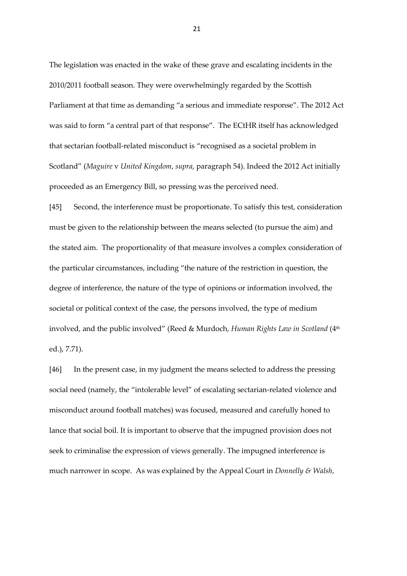The legislation was enacted in the wake of these grave and escalating incidents in the 2010/2011 football season. They were overwhelmingly regarded by the Scottish Parliament at that time as demanding "a serious and immediate response". The 2012 Act was said to form "a central part of that response". The ECtHR itself has acknowledged that sectarian football-related misconduct is "recognised as a societal problem in Scotland" (*Maguire* v *United Kingdom*, *supra*, paragraph 54). Indeed the 2012 Act initially proceeded as an Emergency Bill, so pressing was the perceived need.

[45] Second, the interference must be proportionate. To satisfy this test, consideration must be given to the relationship between the means selected (to pursue the aim) and the stated aim. The proportionality of that measure involves a complex consideration of the particular circumstances, including "the nature of the restriction in question, the degree of interference, the nature of the type of opinions or information involved, the societal or political context of the case, the persons involved, the type of medium involved, and the public involved" (Reed & Murdoch, *Human Rights Law in Scotland* (4th ed.), 7.71).

[46] In the present case, in my judgment the means selected to address the pressing social need (namely, the "intolerable level" of escalating sectarian-related violence and misconduct around football matches) was focused, measured and carefully honed to lance that social boil. It is important to observe that the impugned provision does not seek to criminalise the expression of views generally. The impugned interference is much narrower in scope. As was explained by the Appeal Court in *Donnelly & Walsh*,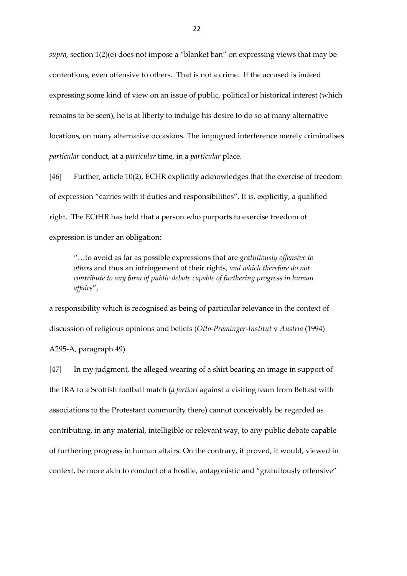*supra,* section 1(2)(e) does not impose a "blanket ban" on expressing views that may be contentious, even offensive to others. That is not a crime. If the accused is indeed expressing some kind of view on an issue of public, political or historical interest (which remains to be seen), he is at liberty to indulge his desire to do so at many alternative locations, on many alternative occasions. The impugned interference merely criminalises *particular* conduct, at a *particular* time, in a *particular* place.

[46] Further, article 10(2), ECHR explicitly acknowledges that the exercise of freedom of expression "carries with it duties and responsibilities". It is, explicitly, a qualified right. The ECtHR has held that a person who purports to exercise freedom of expression is under an obligation:

"…to avoid as far as possible expressions that are *gratuitously offensive to others* and thus an infringement of their rights, *and which therefore do not contribute to any form of public debate capable of furthering progress in human affairs*",

a responsibility which is recognised as being of particular relevance in the context of discussion of religious opinions and beliefs (*Otto-Preminger-Institut* v *Austria* (1994) A295-A, paragraph 49).

[47] In my judgment, the alleged wearing of a shirt bearing an image in support of the IRA to a Scottish football match (*a fortiori* against a visiting team from Belfast with associations to the Protestant community there) cannot conceivably be regarded as contributing, in any material, intelligible or relevant way, to any public debate capable of furthering progress in human affairs. On the contrary, if proved, it would, viewed in context, be more akin to conduct of a hostile, antagonistic and "gratuitously offensive"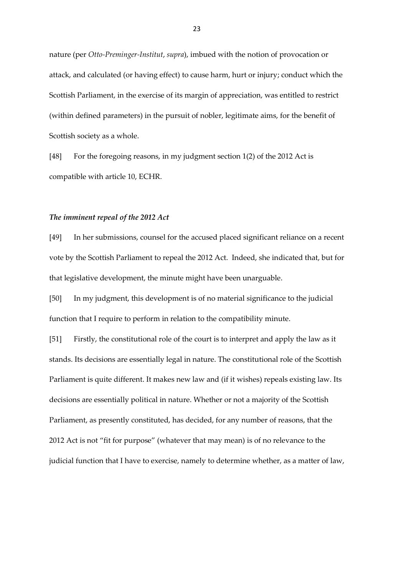nature (per *Otto-Preminger-Institut*, *supra*), imbued with the notion of provocation or attack, and calculated (or having effect) to cause harm, hurt or injury; conduct which the Scottish Parliament, in the exercise of its margin of appreciation, was entitled to restrict (within defined parameters) in the pursuit of nobler, legitimate aims, for the benefit of Scottish society as a whole.

[48] For the foregoing reasons, in my judgment section 1(2) of the 2012 Act is compatible with article 10, ECHR.

### *The imminent repeal of the 2012 Act*

[49] In her submissions, counsel for the accused placed significant reliance on a recent vote by the Scottish Parliament to repeal the 2012 Act. Indeed, she indicated that, but for that legislative development, the minute might have been unarguable.

[50] In my judgment, this development is of no material significance to the judicial function that I require to perform in relation to the compatibility minute.

[51] Firstly, the constitutional role of the court is to interpret and apply the law as it stands. Its decisions are essentially legal in nature. The constitutional role of the Scottish Parliament is quite different. It makes new law and (if it wishes) repeals existing law. Its decisions are essentially political in nature. Whether or not a majority of the Scottish Parliament, as presently constituted, has decided, for any number of reasons, that the 2012 Act is not "fit for purpose" (whatever that may mean) is of no relevance to the judicial function that I have to exercise, namely to determine whether, as a matter of law,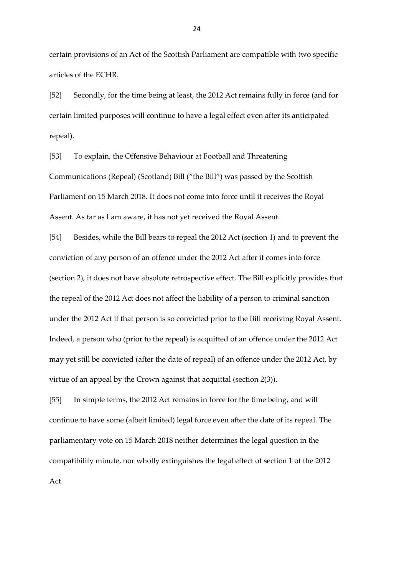certain provisions of an Act of the Scottish Parliament are compatible with two specific articles of the ECHR.

[52] Secondly, for the time being at least, the 2012 Act remains fully in force (and for certain limited purposes will continue to have a legal effect even after its anticipated repeal).

[53] To explain, the Offensive Behaviour at Football and Threatening Communications (Repeal) (Scotland) Bill ("the Bill") was passed by the Scottish Parliament on 15 March 2018. It does not come into force until it receives the Royal Assent. As far as I am aware, it has not yet received the Royal Assent.

[54] Besides, while the Bill bears to repeal the 2012 Act (section 1) and to prevent the conviction of any person of an offence under the 2012 Act after it comes into force (section 2), it does not have absolute retrospective effect. The Bill explicitly provides that the repeal of the 2012 Act does not affect the liability of a person to criminal sanction under the 2012 Act if that person is so convicted prior to the Bill receiving Royal Assent. Indeed, a person who (prior to the repeal) is acquitted of an offence under the 2012 Act may yet still be convicted (after the date of repeal) of an offence under the 2012 Act, by virtue of an appeal by the Crown against that acquittal (section 2(3)).

[55] In simple terms, the 2012 Act remains in force for the time being, and will continue to have some (albeit limited) legal force even after the date of its repeal. The parliamentary vote on 15 March 2018 neither determines the legal question in the compatibility minute, nor wholly extinguishes the legal effect of section 1 of the 2012 Act.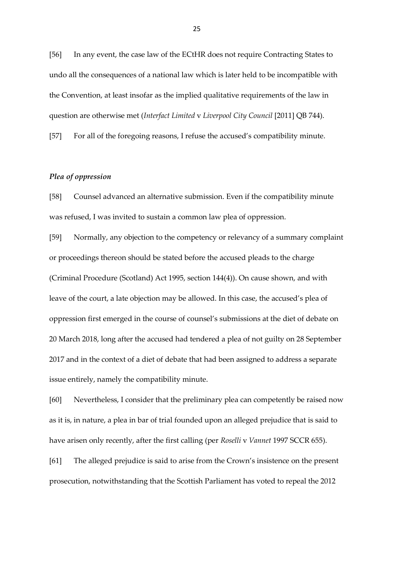[56] In any event, the case law of the ECtHR does not require Contracting States to undo all the consequences of a national law which is later held to be incompatible with the Convention, at least insofar as the implied qualitative requirements of the law in question are otherwise met (*Interfact Limited* v *Liverpool City Council* [2011] QB 744).

[57] For all of the foregoing reasons, I refuse the accused's compatibility minute.

### *Plea of oppression*

[58] Counsel advanced an alternative submission. Even if the compatibility minute was refused, I was invited to sustain a common law plea of oppression.

[59] Normally, any objection to the competency or relevancy of a summary complaint or proceedings thereon should be stated before the accused pleads to the charge (Criminal Procedure (Scotland) Act 1995, section 144(4)). On cause shown, and with leave of the court, a late objection may be allowed. In this case, the accused's plea of oppression first emerged in the course of counsel's submissions at the diet of debate on 20 March 2018, long after the accused had tendered a plea of not guilty on 28 September 2017 and in the context of a diet of debate that had been assigned to address a separate issue entirely, namely the compatibility minute.

[60] Nevertheless, I consider that the preliminary plea can competently be raised now as it is, in nature, a plea in bar of trial founded upon an alleged prejudice that is said to have arisen only recently, after the first calling (per *Roselli* v *Vannet* 1997 SCCR 655).

[61] The alleged prejudice is said to arise from the Crown's insistence on the present prosecution, notwithstanding that the Scottish Parliament has voted to repeal the 2012